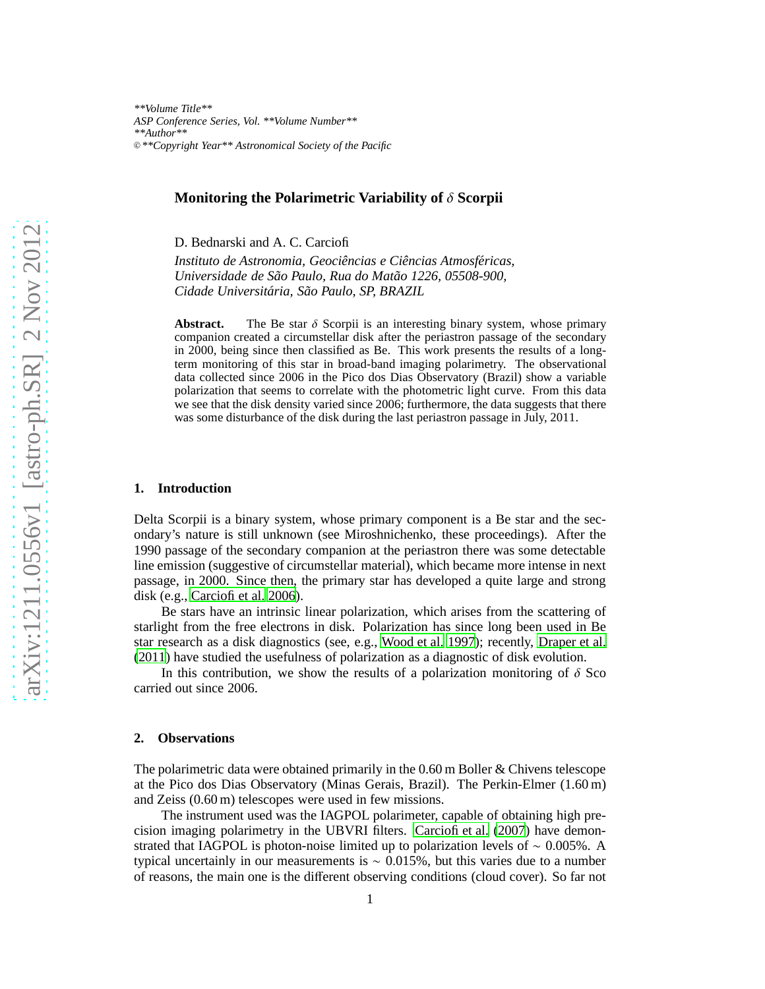*\*\*Volume Title\*\* ASP Conference Series, Vol. \*\*Volume Number\*\* \*\*Author\*\** <sup>c</sup> *\*\*Copyright Year\*\* Astronomical Society of the Pacific*

# **Monitoring the Polarimetric Variability of** δ **Scorpii**

D. Bednarski and A. C. Carciofi

Instituto de Astronomia, Geociências e Ciências Atmosféricas, *Universidade de S˜ao Paulo, Rua do Mat˜ao 1226, 05508-900, Cidade Universit´aria, S˜ao Paulo, SP, BRAZIL*

**Abstract.** The Be star  $\delta$  Scorpii is an interesting binary system, whose primary companion created a circumstellar disk after the periastron passage of the secondary in 2000, being since then classified as Be. This work presents the results of a longterm monitoring of this star in broad-band imaging polarimetry. The observational data collected since 2006 in the Pico dos Dias Observatory (Brazil) show a variable polarization that seems to correlate with the photometric light curve. From this data we see that the disk density varied since 2006; furthermore, the data suggests that there was some disturbance of the disk during the last periastron passage in July, 2011.

### **1. Introduction**

Delta Scorpii is a binary system, whose primary component is a Be star and the secondary's nature is still unknown (see Miroshnichenko, these proceedings). After the 1990 passage of the secondary companion at the periastron there was some detectable line emission (suggestive of circumstellar material), which became more intense in next passage, in 2000. Since then, the primary star has developed a quite large and strong disk (e.g., [Carciofi et al. 2006](#page-3-0)).

Be stars have an intrinsic linear polarization, which arises from the scattering of starlight from the free electrons in disk. Polarization has since long been used in Be star research as a disk diagnostics (see, e.g., [Wood et al. 1997](#page-3-1)); recently, [Draper et al.](#page-3-2) [\(2011](#page-3-2)) have studied the usefulness of polarization as a diagnostic of disk evolution.

In this contribution, we show the results of a polarization monitoring of  $\delta$  Sco carried out since 2006.

### **2. Observations**

The polarimetric data were obtained primarily in the  $0.60$  m Boller & Chivens telescope at the Pico dos Dias Observatory (Minas Gerais, Brazil). The Perkin-Elmer (1.60 m) and Zeiss (0.60 m) telescopes were used in few missions.

The instrument used was the IAGPOL polarimeter, capable of obtaining high precision imaging polarimetry in the UBVRI filters. [Carciofi et al.](#page-3-3) [\(2007](#page-3-3)) have demonstrated that IAGPOL is photon-noise limited up to polarization levels of  $\sim 0.005\%$ . A typical uncertainly in our measurements is  $\sim 0.015\%$ , but this varies due to a number of reasons, the main one is the different observing conditions (cloud cover). So far not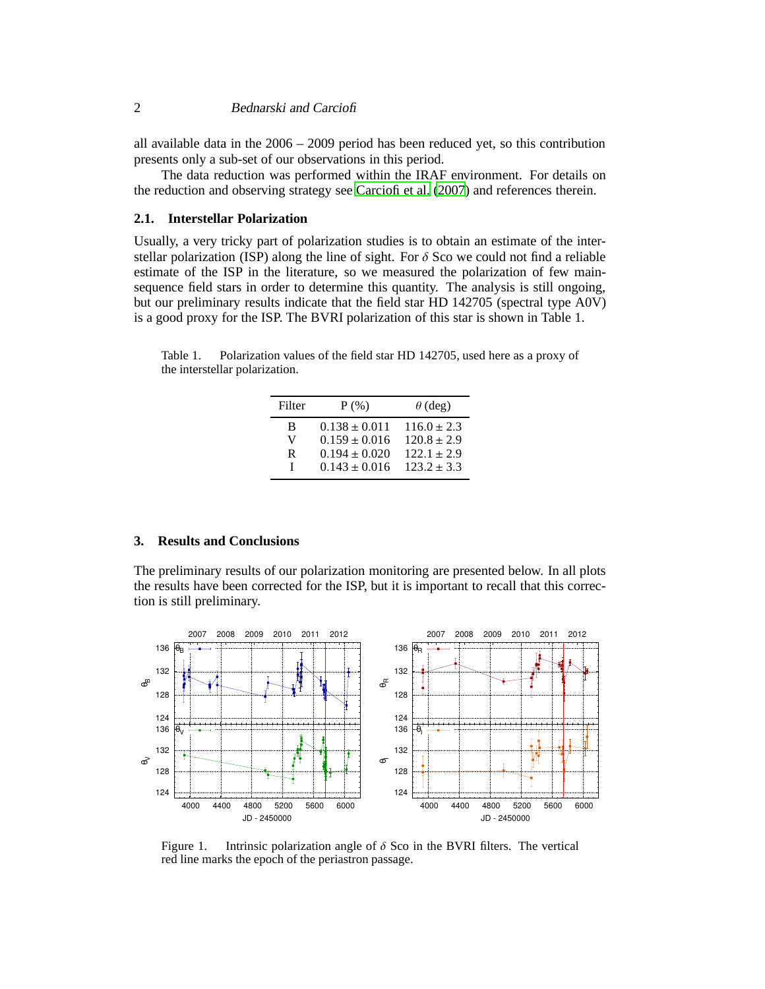all available data in the 2006 – 2009 period has been reduced yet, so this contribution presents only a sub-set of our observations in this period.

The data reduction was performed within the IRAF environment. For details on the reduction and observing strategy see [Carciofi et al.](#page-3-3) [\(2007](#page-3-3)) and references therein.

# **2.1. Interstellar Polarization**

Usually, a very tricky part of polarization studies is to obtain an estimate of the interstellar polarization (ISP) along the line of sight. For  $\delta$  Sco we could not find a reliable estimate of the ISP in the literature, so we measured the polarization of few mainsequence field stars in order to determine this quantity. The analysis is still ongoing, but our preliminary results indicate that the field star HD 142705 (spectral type A0V) is a good proxy for the ISP. The BVRI polarization of this star is shown in Table 1.

Table 1. Polarization values of the field star HD 142705, used here as a proxy of the interstellar polarization.

| Filter | $P$ (%)           | $\theta$ (deg)  |
|--------|-------------------|-----------------|
| B      | $0.138 \pm 0.011$ | $116.0 \pm 2.3$ |
| V      | $0.159 \pm 0.016$ | $120.8 \pm 2.9$ |
| R      | $0.194 \pm 0.020$ | $122.1 \pm 2.9$ |
| L      | $0.143 \pm 0.016$ | $123.2 \pm 3.3$ |

# **3. Results and Conclusions**

The preliminary results of our polarization monitoring are presented below. In all plots the results have been corrected for the ISP, but it is important to recall that this correction is still preliminary.



<span id="page-1-0"></span>Figure 1. Intrinsic polarization angle of  $\delta$  Sco in the BVRI filters. The vertical red line marks the epoch of the periastron passage.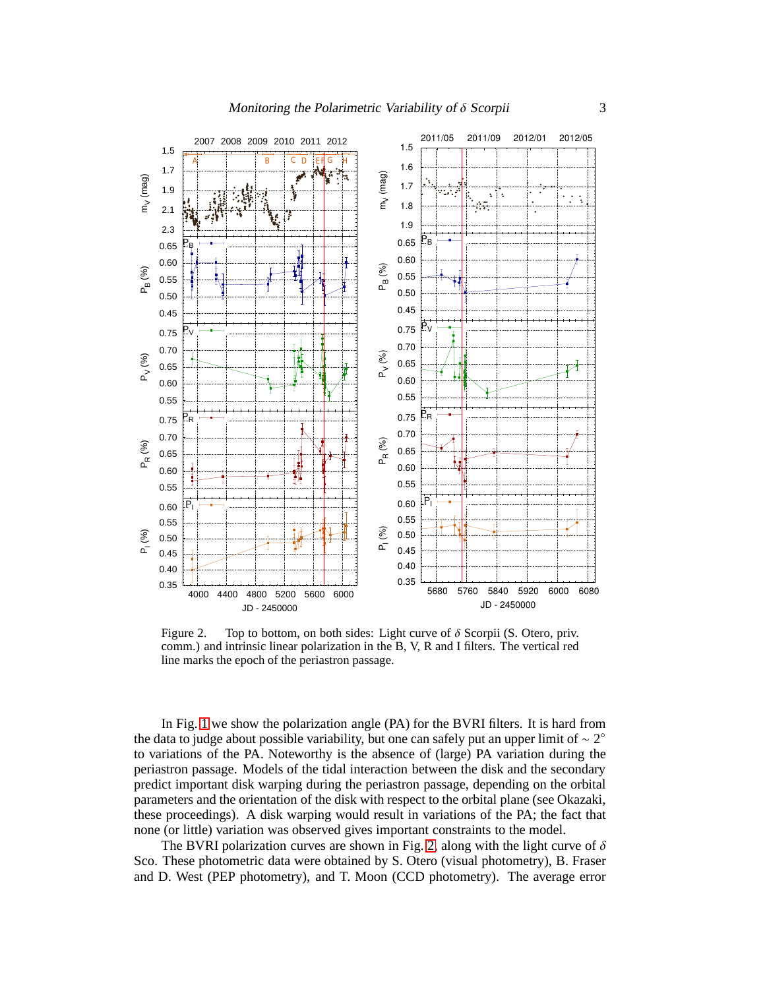

<span id="page-2-0"></span>Figure 2. Top to bottom, on both sides: Light curve of  $\delta$  Scorpii (S. Otero, priv. comm.) and intrinsic linear polarization in the B, V, R and I filters. The vertical red line marks the epoch of the periastron passage.

In Fig. [1](#page-1-0) we show the polarization angle (PA) for the BVRI filters. It is hard from the data to judge about possible variability, but one can safely put an upper limit of  $\sim 2^{\circ}$ to variations of the PA. Noteworthy is the absence of (large) PA variation during the periastron passage. Models of the tidal interaction between the disk and the secondary predict important disk warping during the periastron passage, depending on the orbital parameters and the orientation of the disk with respect to the orbital plane (see Okazaki, these proceedings). A disk warping would result in variations of the PA; the fact that none (or little) variation was observed gives important constraints to the model.

The BVRI polarization curves are shown in Fig. [2,](#page-2-0) along with the light curve of  $\delta$ Sco. These photometric data were obtained by S. Otero (visual photometry), B. Fraser and D. West (PEP photometry), and T. Moon (CCD photometry). The average error